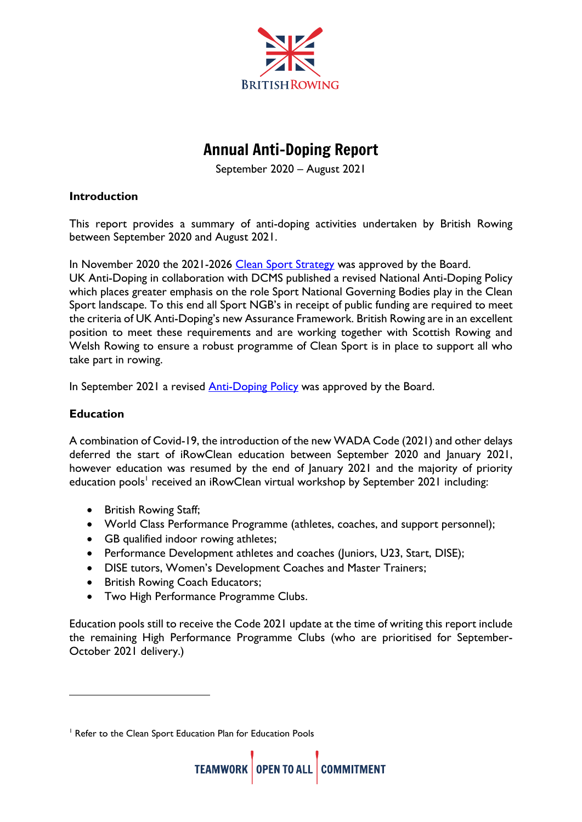

# Annual Anti-Doping Report

September 2020 – August 2021

### **Introduction**

This report provides a summary of anti-doping activities undertaken by British Rowing between September 2020 and August 2021.

In November 2020 the 2021-2026 [Clean Sport Strategy](https://www.britishrowing.org/knowledge/cleansport/) was approved by the Board.

UK Anti-Doping in collaboration with DCMS published a revised National Anti-Doping Policy which places greater emphasis on the role Sport National Governing Bodies play in the Clean Sport landscape. To this end all Sport NGB's in receipt of public funding are required to meet the criteria of UK Anti-Doping's new Assurance Framework. British Rowing are in an excellent position to meet these requirements and are working together with Scottish Rowing and Welsh Rowing to ensure a robust programme of Clean Sport is in place to support all who take part in rowing.

In September 2021 a revised [Anti-Doping Policy](https://www.britishrowing.org/about-us/policies-guidance/) was approved by the Board.

## **Education**

A combination of Covid-19, the introduction of the new WADA Code (2021) and other delays deferred the start of iRowClean education between September 2020 and January 2021, however education was resumed by the end of January 2021 and the majority of priority education pools' received an iRowClean virtual workshop by September 2021 including:

- British Rowing Staff;
- World Class Performance Programme (athletes, coaches, and support personnel);
- GB qualified indoor rowing athletes;
- Performance Development athletes and coaches (Juniors, U23, Start, DISE);
- DISE tutors, Women's Development Coaches and Master Trainers;
- British Rowing Coach Educators;
- Two High Performance Programme Clubs.

Education pools still to receive the Code 2021 update at the time of writing this report include the remaining High Performance Programme Clubs (who are prioritised for September-October 2021 delivery.)

<sup>&</sup>lt;sup>1</sup> Refer to the Clean Sport Education Plan for Education Pools